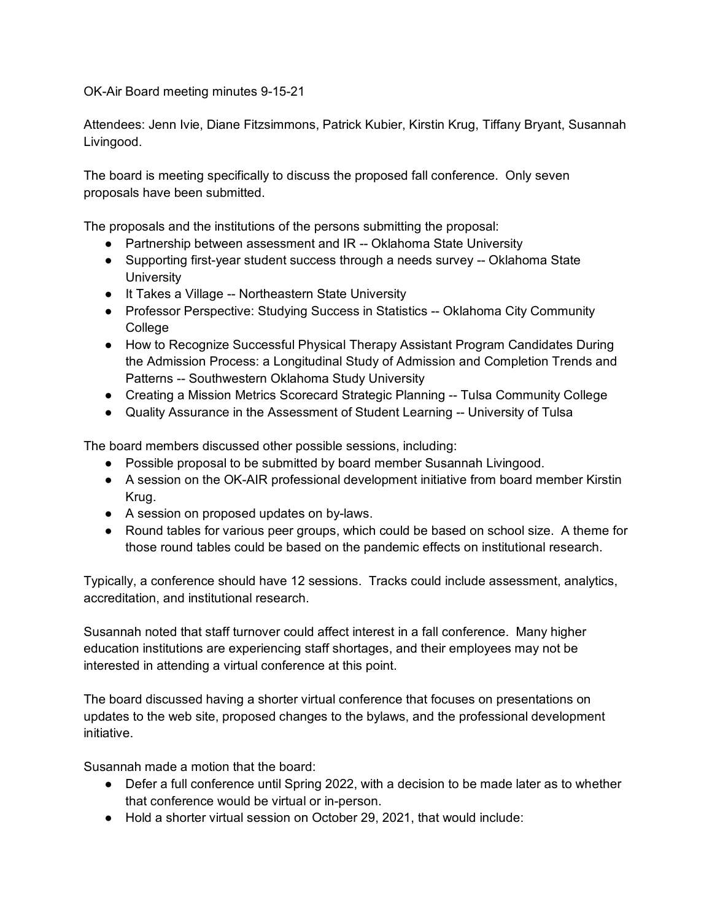OK-Air Board meeting minutes 9-15-21

Attendees: Jenn Ivie, Diane Fitzsimmons, Patrick Kubier, Kirstin Krug, Tiffany Bryant, Susannah Livingood.

The board is meeting specifically to discuss the proposed fall conference. Only seven proposals have been submitted.

The proposals and the institutions of the persons submitting the proposal:

- Partnership between assessment and IR -- Oklahoma State University
- Supporting first-year student success through a needs survey -- Oklahoma State University
- It Takes a Village -- Northeastern State University
- Professor Perspective: Studying Success in Statistics -- Oklahoma City Community **College**
- How to Recognize Successful Physical Therapy Assistant Program Candidates During the Admission Process: a Longitudinal Study of Admission and Completion Trends and Patterns -- Southwestern Oklahoma Study University
- Creating a Mission Metrics Scorecard Strategic Planning -- Tulsa Community College
- Quality Assurance in the Assessment of Student Learning -- University of Tulsa

The board members discussed other possible sessions, including:

- Possible proposal to be submitted by board member Susannah Livingood.
- A session on the OK-AIR professional development initiative from board member Kirstin Krug.
- A session on proposed updates on by-laws.
- Round tables for various peer groups, which could be based on school size. A theme for those round tables could be based on the pandemic effects on institutional research.

Typically, a conference should have 12 sessions. Tracks could include assessment, analytics, accreditation, and institutional research.

Susannah noted that staff turnover could affect interest in a fall conference. Many higher education institutions are experiencing staff shortages, and their employees may not be interested in attending a virtual conference at this point.

The board discussed having a shorter virtual conference that focuses on presentations on updates to the web site, proposed changes to the bylaws, and the professional development initiative.

Susannah made a motion that the board:

- Defer a full conference until Spring 2022, with a decision to be made later as to whether that conference would be virtual or in-person.
- Hold a shorter virtual session on October 29, 2021, that would include: